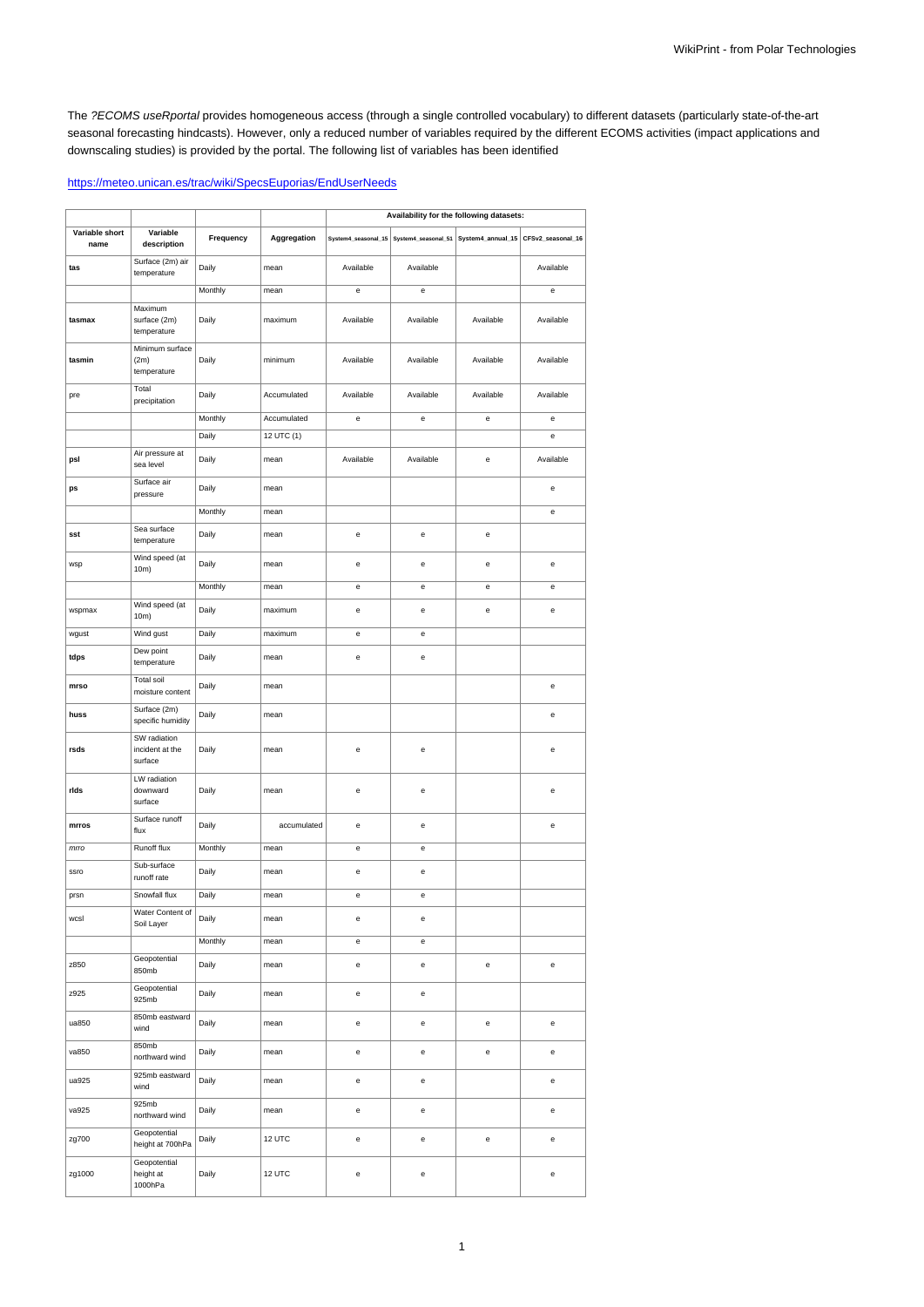The ?ECOMS useRportal provides homogeneous access (through a single controlled vocabulary) to different datasets (particularly state-of-the-art seasonal forecasting hindcasts). However, only a reduced number of variables required by the different ECOMS activities (impact applications and downscaling studies) is provided by the portal. The following list of variables has been identified

## <https://meteo.unican.es/trac/wiki/SpecsEuporias/EndUserNeeds>

|                        |                                            |           |             | Availability for the following datasets:   |                                                |                                                                             |           |
|------------------------|--------------------------------------------|-----------|-------------|--------------------------------------------|------------------------------------------------|-----------------------------------------------------------------------------|-----------|
| Variable short<br>name | Variable<br>description                    | Frequency | Aggregation |                                            |                                                | System4_seasonal_15 System4_seasonal_51 System4_annual_15 CFSv2_seasonal_16 |           |
| tas                    | Surface (2m) air<br>temperature            | Daily     | mean        | Available                                  | Available                                      |                                                                             | Available |
|                        |                                            | Monthly   | mean        | e                                          | e                                              |                                                                             | e         |
| tasmax                 | Maximum<br>surface (2m)<br>temperature     | Daily     | maximum     | Available                                  | Available                                      | Available                                                                   | Available |
| tasmin                 | Minimum surface<br>(2m)<br>temperature     | Daily     | minimum     | Available                                  | Available                                      | Available                                                                   | Available |
| pre                    | Total<br>precipitation                     | Daily     | Accumulated | Available                                  | Available                                      | Available                                                                   | Available |
|                        |                                            | Monthly   | Accumulated | е                                          | e                                              | е                                                                           | е         |
|                        |                                            | Daily     | 12 UTC (1)  |                                            |                                                |                                                                             | e         |
| psl                    | Air pressure at<br>sea level               | Daily     | mean        | Available                                  | Available                                      | e                                                                           | Available |
| ps                     | Surface air<br>pressure                    | Daily     | mean        |                                            |                                                |                                                                             | e         |
|                        |                                            | Monthly   | mean        |                                            |                                                |                                                                             | е         |
| sst                    | Sea surface<br>temperature                 | Daily     | mean        | e                                          | e                                              | е                                                                           |           |
| wsp                    | Wind speed (at<br>10m)                     | Daily     | mean        | e                                          | e                                              | e                                                                           | e         |
|                        |                                            | Monthly   | mean        | e                                          | e                                              | e                                                                           | e         |
| wspmax                 | Wind speed (at<br>10m)                     | Daily     | maximum     | e                                          | $\mathsf{e}% _{0}\left( \mathsf{e}\right)$     | e                                                                           | e         |
| wgust                  | Wind gust                                  | Daily     | maximum     | e                                          | e                                              |                                                                             |           |
| tdps                   | Dew point<br>temperature                   | Daily     | mean        | e                                          | $\mathsf{e}% _{0}\left( \mathsf{e}\right)$     |                                                                             |           |
| mrso                   | <b>Total soil</b><br>moisture content      | Daily     | mean        |                                            |                                                |                                                                             | e         |
| huss                   | Surface (2m)<br>specific humidity          | Daily     | mean        |                                            |                                                |                                                                             | e         |
| rsds                   | SW radiation<br>incident at the<br>surface | Daily     | mean        | e                                          | e                                              |                                                                             | е         |
| rids                   | LW radiation<br>downward<br>surface        | Daily     | mean        | e                                          | e                                              |                                                                             | e         |
| mrros                  | Surface runoff<br>flux                     | Daily     | accumulated | e                                          | e                                              |                                                                             | e         |
| mrro                   | Runoff flux                                | Monthly   | mean        | e                                          | $\mathsf{e}% _{0}\left( \mathsf{e}\right)$     |                                                                             |           |
| ssro                   | Sub-surface<br>runoff rate                 | Daily     | mean        | е                                          | e                                              |                                                                             |           |
| prsn                   | Snowfall flux                              | Daily     | mean        | e                                          | e                                              |                                                                             |           |
| wcsl                   | Water Content of<br>Soil Layer             | Daily     | mean        | e                                          | e                                              |                                                                             |           |
|                        |                                            | Monthly   | mean        | e                                          | e                                              |                                                                             |           |
| z850                   | Geopotential<br>850mb                      | Daily     | mean        | $\mathsf{e}% _{0}\left( \mathsf{e}\right)$ | $\mathbf{e}% _{t}\left  \mathbf{v}_{t}\right $ | e                                                                           | e         |
| z925                   | Geopotential<br>925mb                      | Daily     | mean        | e                                          | e                                              |                                                                             |           |
| ua850                  | 850mb eastward<br>wind                     | Daily     | mean        | $\mathsf{e}% _{0}\left( \mathsf{e}\right)$ | $\mathbf{e}% _{t}\left( t\right)$              | $\mathsf{e}% _{0}\left( \mathsf{e}\right)$                                  | e         |
| va850                  | 850mb<br>northward wind                    | Daily     | mean        | $\mathsf{e}% _{0}\left( \mathsf{e}\right)$ | e                                              | $\mathsf{e}% _{0}\left( \mathsf{e}\right)$                                  | e         |
| ua925                  | 925mb eastward<br>wind                     | Daily     | mean        | e                                          | e                                              |                                                                             | e         |
| va925                  | 925mb<br>northward wind                    | Daily     | mean        | e                                          | е                                              |                                                                             | е         |
| zg700                  | Geopotential<br>height at 700hPa           | Daily     | 12 UTC      | e                                          | $\mathsf{e}% _{0}\left( \mathsf{e}\right)$     | $\mathsf{e}% _{0}\left( \mathsf{e}\right)$                                  | e         |
| zg1000                 | Geopotential<br>height at<br>1000hPa       | Daily     | 12 UTC      | e                                          | e                                              |                                                                             | e         |